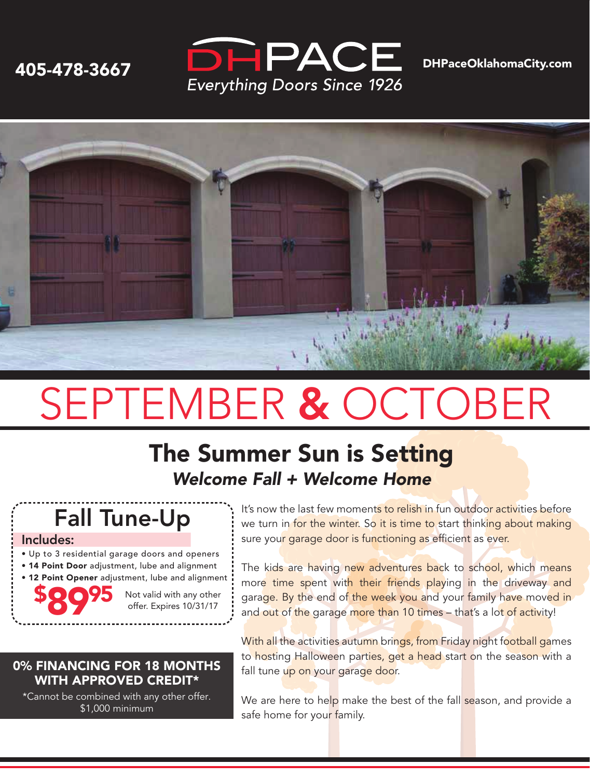



# SEPTEMBER & OCTOBER

### The Summer Sun is Setting *Welcome Fall + Welcome Home*

## Fall Tune-Up

#### Includes:

\$

8995

• Up to 3 residential garage doors and openers • 14 Point Door adjustment, lube and alignment

• 12 Point Opener adjustment, lube and alignment

Not valid with any other offer. Expires 10/31/17

#### It's now the last few moments to relish in fun outdoor activities before we turn in for the winter. So it is time to start thinking about making sure your garage door is functioning as efficient as ever.

The kids are having new adventures back to school, which means more time spent with their friends playing in the driveway and gara<mark>ge. By t</mark>he end of the week you and your family have moved in and out of the garage more than 10 times – that's a lot of activity!

With all the activities autumn brings, from Friday night football games to hosting Halloween parties, get a head start on the season with a fall tune up on your garage door.

We are here to help make the best of the fall season, and provide a safe home for your family.

#### 0% FINANCING FOR 18 MONTHS WITH APPROVED CREDIT\*

\*Cannot be combined with any other offer. \$1,000 minimum